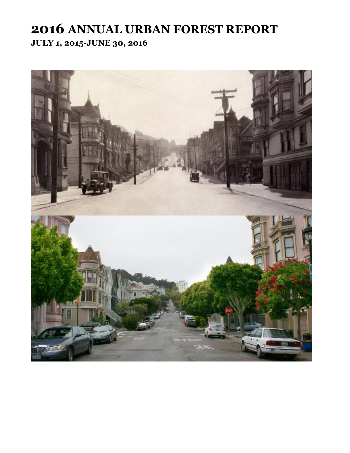# **2016 ANNUAL URBAN FOREST REPORT JULY 1, 2015-JUNE 30, 2016**

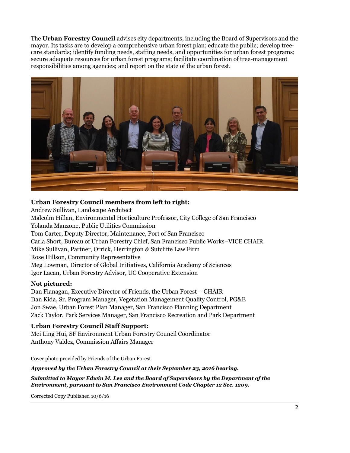The **Urban Forestry Council** advises city departments, including the Board of Supervisors and the mayor. Its tasks are to develop a comprehensive urban forest plan; educate the public; develop treecare standards; identify funding needs, staffing needs, and opportunities for urban forest programs; secure adequate resources for urban forest programs; facilitate coordination of tree-management responsibilities among agencies; and report on the state of the urban forest.



#### **Urban Forestry Council members from left to right:**

Andrew Sullivan, Landscape Architect Malcolm Hillan, Environmental Horticulture Professor, City College of San Francisco Yolanda Manzone, Public Utilities Commission Tom Carter, Deputy Director, Maintenance, Port of San Francisco Carla Short, Bureau of Urban Forestry Chief, San Francisco Public Works–VICE CHAIR Mike Sullivan, Partner, Orrick, Herrington & Sutcliffe Law Firm Rose Hillson, Community Representative Meg Lowman, Director of Global Initiatives, California Academy of Sciences Igor Lacan, Urban Forestry Advisor, UC Cooperative Extension

#### **Not pictured:**

Dan Flanagan, Executive Director of Friends, the Urban Forest – CHAIR Dan Kida, Sr. Program Manager, Vegetation Management Quality Control, PG&E Jon Swae, Urban Forest Plan Manager, San Francisco Planning Department Zack Taylor, Park Services Manager, San Francisco Recreation and Park Department

#### **Urban Forestry Council Staff Support:**

Mei Ling Hui, SF Environment Urban Forestry Council Coordinator Anthony Valdez, Commission Affairs Manager

Cover photo provided by Friends of the Urban Forest

*Approved by the Urban Forestry Council at their September 23, 2016 hearing.*

*Submitted to Mayor Edwin M. Lee and the Board of Supervisors by the Department of the Environment, pursuant to San Francisco Environment Code Chapter 12 Sec. 1209.*

Corrected Copy Published 10/6/16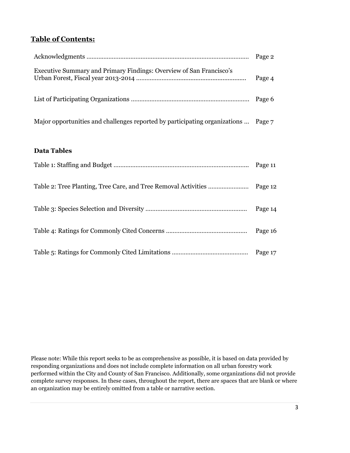## **Table of Contents:**

| Executive Summary and Primary Findings: Overview of San Francisco's                | Page 4 |
|------------------------------------------------------------------------------------|--------|
|                                                                                    |        |
| Major opportunities and challenges reported by participating organizations  Page 7 |        |

#### **Data Tables**

| Page 14 |
|---------|
| Page 16 |
|         |

Please note: While this report seeks to be as comprehensive as possible, it is based on data provided by responding organizations and does not include complete information on all urban forestry work performed within the City and County of San Francisco. Additionally, some organizations did not provide complete survey responses. In these cases, throughout the report, there are spaces that are blank or where an organization may be entirely omitted from a table or narrative section.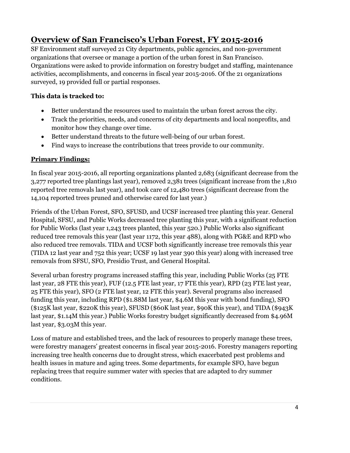# **Overview of San Francisco's Urban Forest, FY 2015-2016**

SF Environment staff surveyed 21 City departments, public agencies, and non-government organizations that oversee or manage a portion of the urban forest in San Francisco. Organizations were asked to provide information on forestry budget and staffing, maintenance activities, accomplishments, and concerns in fiscal year 2015-2016. Of the 21 organizations surveyed, 19 provided full or partial responses.

#### **This data is tracked to:**

- Better understand the resources used to maintain the urban forest across the city.
- Track the priorities, needs, and concerns of city departments and local nonprofits, and monitor how they change over time.
- Better understand threats to the future well-being of our urban forest.
- Find ways to increase the contributions that trees provide to our community.

### **Primary Findings:**

In fiscal year 2015-2016, all reporting organizations planted 2,683 (significant decrease from the 3,277 reported tree plantings last year), removed 2,381 trees (significant increase from the 1,810 reported tree removals last year), and took care of 12,480 trees (significant decrease from the 14,104 reported trees pruned and otherwise cared for last year.)

Friends of the Urban Forest, SFO, SFUSD, and UCSF increased tree planting this year. General Hospital, SFSU, and Public Works decreased tree planting this year, with a significant reduction for Public Works (last year 1,243 trees planted, this year 520.) Public Works also significant reduced tree removals this year (last year 1172, this year 488), along with PG&E and RPD who also reduced tree removals. TIDA and UCSF both significantly increase tree removals this year (TIDA 12 last year and 752 this year; UCSF 19 last year 390 this year) along with increased tree removals from SFSU, SFO, Presidio Trust, and General Hospital.

Several urban forestry programs increased staffing this year, including Public Works (25 FTE last year, 28 FTE this year), FUF (12.5 FTE last year, 17 FTE this year), RPD (23 FTE last year, 25 FTE this year), SFO (2 FTE last year, 12 FTE this year). Several programs also increased funding this year, including RPD (\$1.88M last year, \$4.6M this year with bond funding), SFO (\$125K last year, \$220K this year), SFUSD (\$60K last year, \$90K this year), and TIDA (\$943K last year, \$1.14M this year.) Public Works forestry budget significantly decreased from \$4.96M last year, \$3.03M this year.

Loss of mature and established trees, and the lack of resources to properly manage these trees, were forestry managers' greatest concerns in fiscal year 2015-2016. Forestry managers reporting increasing tree health concerns due to drought stress, which exacerbated pest problems and health issues in mature and aging trees. Some departments, for example SFO, have begun replacing trees that require summer water with species that are adapted to dry summer conditions.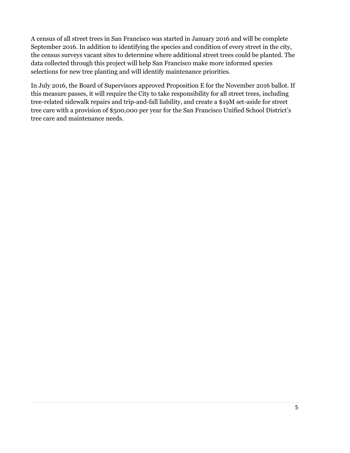A census of all street trees in San Francisco was started in January 2016 and will be complete September 2016. In addition to identifying the species and condition of every street in the city, the census surveys vacant sites to determine where additional street trees could be planted. The data collected through this project will help San Francisco make more informed species selections for new tree planting and will identify maintenance priorities.

In July 2016, the Board of Supervisors approved Proposition E for the November 2016 ballot. If this measure passes, it will require the City to take responsibility for all street trees, including tree-related sidewalk repairs and trip-and-fall liability, and create a \$19M set-aside for street tree care with a provision of \$500,000 per year for the San Francisco Unified School District's tree care and maintenance needs.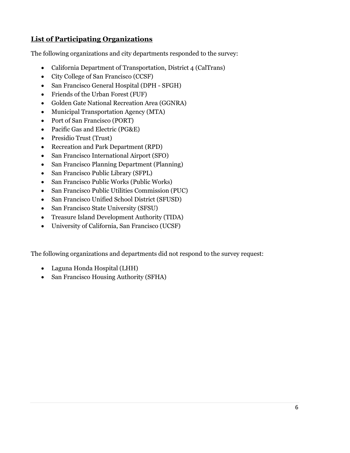# **List of Participating Organizations**

The following organizations and city departments responded to the survey:

- California Department of Transportation, District 4 (CalTrans)
- City College of San Francisco (CCSF)
- San Francisco General Hospital (DPH SFGH)
- Friends of the Urban Forest (FUF)
- Golden Gate National Recreation Area (GGNRA)
- Municipal Transportation Agency (MTA)
- Port of San Francisco (PORT)
- Pacific Gas and Electric (PG&E)
- Presidio Trust (Trust)
- Recreation and Park Department (RPD)
- San Francisco International Airport (SFO)
- San Francisco Planning Department (Planning)
- San Francisco Public Library (SFPL)
- San Francisco Public Works (Public Works)
- San Francisco Public Utilities Commission (PUC)
- San Francisco Unified School District (SFUSD)
- San Francisco State University (SFSU)
- Treasure Island Development Authority (TIDA)
- University of California, San Francisco (UCSF)

The following organizations and departments did not respond to the survey request:

- Laguna Honda Hospital (LHH)
- San Francisco Housing Authority (SFHA)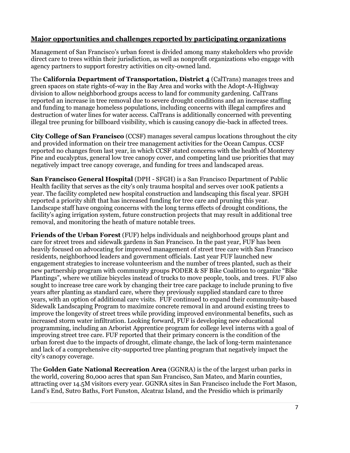### **Major opportunities and challenges reported by participating organizations**

Management of San Francisco's urban forest is divided among many stakeholders who provide direct care to trees within their jurisdiction, as well as nonprofit organizations who engage with agency partners to support forestry activities on city-owned land.

The **California Department of Transportation, District 4** (CalTrans) manages trees and green spaces on state rights-of-way in the Bay Area and works with the Adopt-A-Highway division to allow neighborhood groups access to land for community gardening. CalTrans reported an increase in tree removal due to severe drought conditions and an increase staffing and funding to manage homeless populations, including concerns with illegal campfires and destruction of water lines for water access. CalTrans is additionally concerned with preventing illegal tree pruning for billboard visibility, which is causing canopy die-back in affected trees.

**City College of San Francisco** (CCSF) manages several campus locations throughout the city and provided information on their tree management activities for the Ocean Campus. CCSF reported no changes from last year, in which CCSF stated concerns with the health of Monterey Pine and eucalyptus, general low tree canopy cover, and competing land use priorities that may negatively impact tree canopy coverage, and funding for trees and landscaped areas.

**San Francisco General Hospital** (DPH - SFGH) is a San Francisco Department of Public Health facility that serves as the city's only trauma hospital and serves over 100K patients a year. The facility completed new hospital construction and landscaping this fiscal year. SFGH reported a priority shift that has increased funding for tree care and pruning this year. Landscape staff have ongoing concerns with the long terms effects of drought conditions, the facility's aging irrigation system, future construction projects that may result in additional tree removal, and monitoring the heath of mature notable trees.

**Friends of the Urban Forest** (FUF) helps individuals and neighborhood groups plant and care for street trees and sidewalk gardens in San Francisco. In the past year, FUF has been heavily focused on advocating for improved management of street tree care with San Francisco residents, neighborhood leaders and government officials. Last year FUF launched new engagement strategies to increase volunteerism and the number of trees planted, such as their new partnership program with community groups PODER & SF Bike Coalition to organize "Bike Plantings", where we utilize bicycles instead of trucks to move people, tools, and trees. FUF also sought to increase tree care work by changing their tree care package to include pruning to five years after planting as standard care, where they previously supplied standard care to three years, with an option of additional care visits. FUF continued to expand their community-based Sidewalk Landscaping Program to maximize concrete removal in and around existing trees to improve the longevity of street trees while providing improved environmental benefits, such as increased storm water infiltration. Looking forward, FUF is developing new educational programming, including an Arborist Apprentice program for college level interns with a goal of improving street tree care. FUF reported that their primary concern is the condition of the urban forest due to the impacts of drought, climate change, the lack of long-term maintenance and lack of a comprehensive city-supported tree planting program that negatively impact the city's canopy coverage.

The **Golden Gate National Recreation Area** (GGNRA) is the of the largest urban parks in the world, covering 80,000 acres that span San Francisco, San Mateo, and Marin counties, attracting over 14.5M visitors every year. GGNRA sites in San Francisco include the Fort Mason, Land's End, Sutro Baths, Fort Funston, Alcatraz Island, and the Presidio which is primarily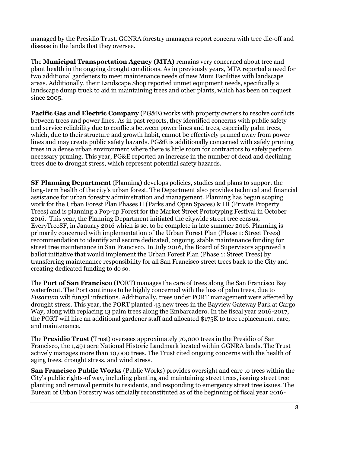managed by the Presidio Trust. GGNRA forestry managers report concern with tree die-off and disease in the lands that they oversee.

The **Municipal Transportation Agency (MTA)** remains very concerned about tree and plant health in the ongoing drought conditions. As in previously years, MTA reported a need for two additional gardeners to meet maintenance needs of new Muni Facilities with landscape areas. Additionally, their Landscape Shop reported unmet equipment needs, specifically a landscape dump truck to aid in maintaining trees and other plants, which has been on request since 2005.

**Pacific Gas and Electric Company** (PG&E) works with property owners to resolve conflicts between trees and power lines. As in past reports, they identified concerns with public safety and service reliability due to conflicts between power lines and trees, especially palm trees, which, due to their structure and growth habit, cannot be effectively pruned away from power lines and may create public safety hazards. PG&E is additionally concerned with safely pruning trees in a dense urban environment where there is little room for contractors to safely perform necessary pruning. This year, PG&E reported an increase in the number of dead and declining trees due to drought stress, which represent potential safety hazards.

**SF Planning Department** (Planning) develops policies, studies and plans to support the long-term health of the city's urban forest. The Department also provides technical and financial assistance for urban forestry administration and management. Planning has begun scoping work for the Urban Forest Plan Phases II (Parks and Open Spaces) & III (Private Property Trees) and is planning a Pop-up Forest for the Market Street Prototyping Festival in October 2016. This year, the Planning Department initiated the citywide street tree census, EveryTreeSF, in January 2016 which is set to be complete in late summer 2016. Planning is primarily concerned with implementation of the Urban Forest Plan (Phase 1: Street Trees) recommendation to identify and secure dedicated, ongoing, stable maintenance funding for street tree maintenance in San Francisco. In July 2016, the Board of Supervisors approved a ballot initiative that would implement the Urban Forest Plan (Phase 1: Street Trees) by transferring maintenance responsibility for all San Francisco street trees back to the City and creating dedicated funding to do so.

The **Port of San Francisco** (PORT) manages the care of trees along the San Francisco Bay waterfront. The Port continues to be highly concerned with the loss of palm trees, due to *Fusarium* wilt fungal infections. Additionally, trees under PORT management were affected by drought stress. This year, the PORT planted 43 new trees in the Bayview Gateway Park at Cargo Way, along with replacing 13 palm trees along the Embarcadero. In the fiscal year 2016-2017, the PORT will hire an additional gardener staff and allocated \$175K to tree replacement, care, and maintenance.

The **Presidio Trust** (Trust) oversees approximately 70,000 trees in the Presidio of San Francisco, the 1,491 acre National Historic Landmark located within GGNRA lands. The Trust actively manages more than 10,000 trees. The Trust cited ongoing concerns with the health of aging trees, drought stress, and wind stress.

**San Francisco Public Works** (Public Works) provides oversight and care to trees within the City's public rights-of way, including planting and maintaining street trees, issuing street tree planting and removal permits to residents, and responding to emergency street tree issues. The Bureau of Urban Forestry was officially reconstituted as of the beginning of fiscal year 2016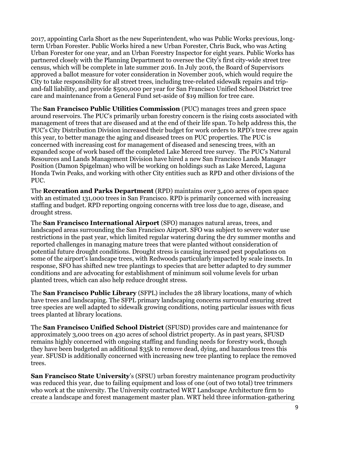2017, appointing Carla Short as the new Superintendent, who was Public Works previous, longterm Urban Forester. Public Works hired a new Urban Forester, Chris Buck, who was Acting Urban Forester for one year, and an Urban Forestry Inspector for eight years. Public Works has partnered closely with the Planning Department to oversee the City's first city-wide street tree census, which will be complete in late summer 2016. In July 2016, the Board of Supervisors approved a ballot measure for voter consideration in November 2016, which would require the City to take responsibility for all street trees, including tree-related sidewalk repairs and tripand-fall liability, and provide \$500,000 per year for San Francisco Unified School District tree care and maintenance from a General Fund set-aside of \$19 million for tree care.

The **San Francisco Public Utilities Commission** (PUC) manages trees and green space around reservoirs. The PUC's primarily urban forestry concern is the rising costs associated with management of trees that are diseased and at the end of their life span. To help address this, the PUC's City Distribution Division increased their budget for work orders to RPD's tree crew again this year, to better manage the aging and diseased trees on PUC properties. The PUC is concerned with increasing cost for management of diseased and senescing trees, with an expanded scope of work based off the completed Lake Merced tree survey. The PUC's Natural Resources and Lands Management Division have hired a new San Francisco Lands Manager Position (Damon Spigelman) who will be working on holdings such as Lake Merced, Laguna Honda Twin Peaks, and working with other City entities such as RPD and other divisions of the PUC.

The **Recreation and Parks Department** (RPD) maintains over 3,400 acres of open space with an estimated 131,000 trees in San Francisco. RPD is primarily concerned with increasing staffing and budget. RPD reporting ongoing concerns with tree loss due to age, disease, and drought stress.

The **San Francisco International Airport** (SFO) manages natural areas, trees, and landscaped areas surrounding the San Francisco Airport. SFO was subject to severe water use restrictions in the past year, which limited regular watering during the dry summer months and reported challenges in managing mature trees that were planted without consideration of potential future drought conditions. Drought stress is causing increased pest populations on some of the airport's landscape trees, with Redwoods particularly impacted by scale insects. In response, SFO has shifted new tree plantings to species that are better adapted to dry summer conditions and are advocating for establishment of minimum soil volume levels for urban planted trees, which can also help reduce drought stress.

The **San Francisco Public Library** (SFPL) includes the 28 library locations, many of which have trees and landscaping. The SFPL primary landscaping concerns surround ensuring street tree species are well adapted to sidewalk growing conditions, noting particular issues with ficus trees planted at library locations.

The **San Francisco Unified School District** (SFUSD) provides care and maintenance for approximately 3,000 trees on 430 acres of school district property. As in past years, SFUSD remains highly concerned with ongoing staffing and funding needs for forestry work, though they have been budgeted an additional \$35k to remove dead, dying, and hazardous trees this year. SFUSD is additionally concerned with increasing new tree planting to replace the removed trees.

**San Francisco State University**'s (SFSU) urban forestry maintenance program productivity was reduced this year, due to failing equipment and loss of one (out of two total) tree trimmers who work at the university. The University contracted WRT Landscape Architecture firm to create a landscape and forest management master plan. WRT held three information-gathering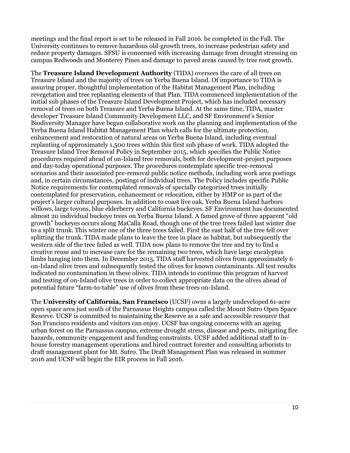meetings and the final report is set to be released in Fall 2016. be completed in the Fall. The University continues to remove hazardous old-growth trees, to increase pedestrian safety and reduce property damages. SFSU is concerned with increasing damage from drought stressing on campus Redwoods and Monterey Pines and damage to paved areas caused by tree root growth.

The **Treasure Island Development Authority** (TIDA) oversees the care of all trees on Treasure Island and the majority of trees on Yerba Buena Island. Of importance to TIDA is assuring proper, thoughtful implementation of the Habitat Management Plan, including revegetation and tree replanting elements of that Plan. TIDA commenced implementation of the initial sub phases of the Treasure Island Development Project, which has included necessary removal of trees on both Treasure and Yerba Buena Island. At the same time, TIDA, master developer Treasure Island Community Development LLC, and SF Environment's Senior Biodiversity Manager have begun collaborative work on the planning and implementation of the Yerba Buena Island Habitat Management Plan which calls for the ultimate protection, enhancement and restoration of natural areas on Yerba Buena Island, including eventual replanting of approximately 1,500 trees within this first sub phase of work. TIDA adopted the Treasure Island Tree Removal Policy in September 2015, which specifies the Public Notice procedures required ahead of on-Island tree removals, both for development-project purposes and day-today operational purposes. The procedures contemplate specific tree-removal scenarios and their associated pre-removal public notice methods, including work area postings and, in certain circumstances, postings of individual trees. The Policy includes specific Public Notice requirements for contemplated removals of specially categorized trees initially contemplated for preservation, enhancement or relocation, either by HMP or as part of the project's larger cultural purposes. In addition to coast live oak, Yerba Buena Island harbors willows, large toyons, blue elderberry and California buckeyes. SF Environment has documented almost 20 individual buckeye trees on Yerba Buena Island. A famed grove of three apparent "old growth" buckeyes occurs along MaCalla Road, though one of the tree trees failed last winter due to a split trunk. This winter one of the three trees failed. First the east half of the tree fell over splitting the trunk. TIDA made plans to leave the tree in place as habitat, but subsequently the western side of the tree failed as well. TIDA now plans to remove the tree and try to find a creative reuse and to increase care for the remaining two trees, which have large eucalyptus limbs hanging into them. In December 2015, TIDA staff harvested olives from approximately 6 on-Island olive trees and subsequently tested the olives for known contaminants. All test results indicated no contamination in these olives. TIDA intends to continue this program of harvest and testing of on-Island olive trees in order to collect appropriate data on the olives ahead of potential future "farm-to-table" use of olives from these trees on-Island.

The **University of California, San Francisco** (UCSF) owns a largely undeveloped 61-acre open space area just south of the Parnassus Heights campus called the Mount Sutro Open Space Reserve. UCSF is committed to maintaining the Reserve as a safe and accessible resource that San Francisco residents and visitors can enjoy. UCSF has ongoing concerns with an ageing urban forest on the Parnassus campus, extreme drought stress, disease and pests, mitigating fire hazards, community engagement and funding constraints. UCSF added additional staff to inhouse forestry management operations and hired contract forester and consulting arborists to draft management plant for Mt. Sutro. The Draft Management Plan was released in summer 2016 and UCSF will begin the EIR process in Fall 2016.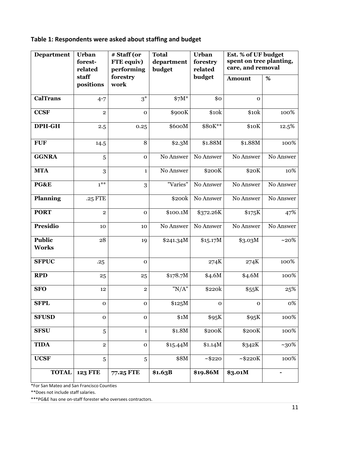# **Table 1: Respondents were asked about staffing and budget**

| <b>Department</b>             | <b>Urban</b><br>forest-<br>related | # Staff (or<br>FTE equiv)<br>performing | <b>Total</b><br>department<br>budget | <b>Urban</b><br>forestry<br>related | Est. % of UF budget<br>spent on tree planting,<br>care, and removal |           |
|-------------------------------|------------------------------------|-----------------------------------------|--------------------------------------|-------------------------------------|---------------------------------------------------------------------|-----------|
|                               | staff<br>positions                 | forestry<br>work                        |                                      | budget                              | <b>Amount</b>                                                       | %         |
| <b>CalTrans</b>               | $4 - 7$                            | $3^*$                                   | $$7M*$                               | \$0                                 | $\mathbf{O}$                                                        |           |
| <b>CCSF</b>                   | $\overline{2}$                     | $\mathbf{o}$                            | \$900K                               | \$10k                               | \$10k                                                               | 100%      |
| DPH-GH                        | 2.5                                | 0.25                                    | \$600M                               | \$80K**                             | \$10K                                                               | 12.5%     |
| <b>FUF</b>                    | 14.5                               | 8                                       | \$2.3M                               | \$1.88M                             | \$1.88M                                                             | 100%      |
| <b>GGNRA</b>                  | 5                                  | $\mathbf{o}$                            | No Answer                            | No Answer                           | No Answer                                                           | No Answer |
| <b>MTA</b>                    | 3                                  | $\mathbf{1}$                            | No Answer                            | \$200K                              | \$20K                                                               | 10%       |
| PG&E                          | $1***$                             | 3                                       | "Varies"                             | No Answer                           | No Answer                                                           | No Answer |
| <b>Planning</b>               | .25 FTE                            |                                         | \$200k                               | No Answer                           | No Answer                                                           | No Answer |
| <b>PORT</b>                   | $\overline{2}$                     | $\mathbf{o}$                            | \$100.1M                             | \$372.26K                           | \$175K                                                              | 47%       |
| <b>Presidio</b>               | 10                                 | 10                                      | No Answer                            | No Answer                           | No Answer                                                           | No Answer |
| <b>Public</b><br><b>Works</b> | 28                                 | 19                                      | \$241.34M                            | \$15.17M                            | \$3.03M                                                             | $~10\%$   |
| <b>SFPUC</b>                  | .25                                | $\mathbf{o}$                            |                                      | 274K                                | 274K                                                                | 100%      |
| <b>RPD</b>                    | 25                                 | 25                                      | \$178.7M                             | \$4.6M                              | \$4.6M                                                              | 100%      |
| <b>SFO</b>                    | 12                                 | $\overline{2}$                          | "N/A"                                | \$220k                              | \$55K                                                               | 25%       |
| <b>SFPL</b>                   | $\mathbf 0$                        | 0                                       | \$125M                               | 0                                   | 0                                                                   | 0%        |
| <b>SFUSD</b>                  | $\mathbf 0$                        | $\mathbf 0$                             | \$1M                                 | \$95K                               | \$95K                                                               | 100%      |
| <b>SFSU</b>                   | 5                                  | $\mathbf{1}$                            | \$1.8M                               | \$200K                              | \$200K                                                              | 100%      |
| <b>TIDA</b>                   | $\mathbf 2$                        | $\mathbf 0$                             | \$15.44M                             | \$1.14M                             | \$342K                                                              | $~10\%$   |
| <b>UCSF</b>                   | $\overline{5}$                     | 5                                       | \$8M                                 | ~1.48220                            | ~1.48220K                                                           | 100%      |
| <b>TOTAL</b>                  | <b>123 FTE</b>                     | 77.25 FTE                               | \$1.63B                              | \$19.86M                            | \$3.01M                                                             |           |

\*For San Mateo and San Francisco Counties

\*\*Does not include staff salaries.

\*\*\*PG&E has one on-staff forester who oversees contractors.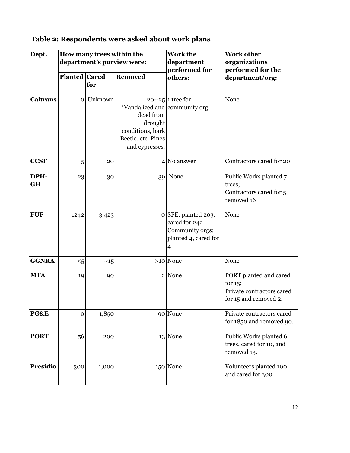# **Table 2: Respondents were asked about work plans**

| Dept.             | How many trees within the<br>department's purview were: |                       |                                                                                                                   | <b>Work the</b><br>department<br>performed for                                                    | <b>Work other</b><br>organizations<br>performed for the                                    |  |
|-------------------|---------------------------------------------------------|-----------------------|-------------------------------------------------------------------------------------------------------------------|---------------------------------------------------------------------------------------------------|--------------------------------------------------------------------------------------------|--|
|                   | Planted Cared                                           | <b>Removed</b><br>for |                                                                                                                   | others:                                                                                           | department/org:                                                                            |  |
| <b>Caltrans</b>   |                                                         | o Unknown             | *Vandalized and community org<br>dead from<br>drought<br>conditions, bark<br>Beetle, etc. Pines<br>and cypresses. | $20 - 25$ 1 tree for                                                                              | None                                                                                       |  |
| <b>CCSF</b>       | 5                                                       | 20                    |                                                                                                                   | $4$ No answer                                                                                     | Contractors cared for 20                                                                   |  |
| DPH-<br><b>GH</b> | 23                                                      | 30                    |                                                                                                                   | 39 None                                                                                           | Public Works planted 7<br>trees;<br>Contractors cared for 5,<br>removed 16                 |  |
| <b>FUF</b>        | 1242                                                    | 3,423                 |                                                                                                                   | o SFE: planted 203,<br>cared for 242<br>Community orgs:<br>planted 4, cared for<br>$\overline{4}$ | None                                                                                       |  |
| <b>GGNRA</b>      | $5$                                                     | ~15                   |                                                                                                                   | $>10$ None                                                                                        | None                                                                                       |  |
| <b>MTA</b>        | 19                                                      | 90                    |                                                                                                                   | 2 None                                                                                            | PORT planted and cared<br>for $15$ ;<br>Private contractors cared<br>for 15 and removed 2. |  |
| PG&E              | $\mathbf 0$                                             | 1,850                 |                                                                                                                   | 90 None                                                                                           | Private contractors cared<br>for 1850 and removed 90.                                      |  |
| <b>PORT</b>       | 56                                                      | 200                   |                                                                                                                   | 13 None                                                                                           | Public Works planted 6<br>trees, cared for 10, and<br>removed 13.                          |  |
| <b>Presidio</b>   | 300                                                     | 1,000                 |                                                                                                                   | 150 None                                                                                          | Volunteers planted 100<br>and cared for 300                                                |  |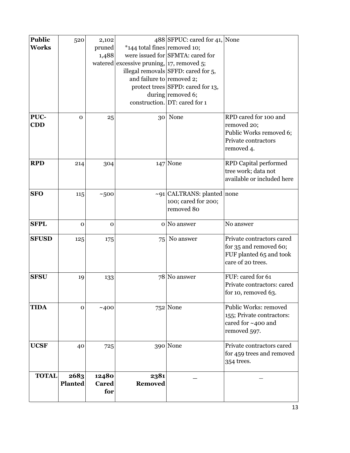| <b>Public</b> | 520            | 2,102                 |                                                   | 488 SFPUC: cared for 41, None       |                              |
|---------------|----------------|-----------------------|---------------------------------------------------|-------------------------------------|------------------------------|
| <b>Works</b>  |                | pruned                | *144 total fines removed 10;                      |                                     |                              |
|               |                | 1,488                 |                                                   | were issued for SFMTA: cared for    |                              |
|               |                |                       | watered excessive pruning, $\vert$ 17, removed 5; |                                     |                              |
|               |                |                       |                                                   | illegal removals SFFD: cared for 5, |                              |
|               |                |                       | and failure to removed 2;                         |                                     |                              |
|               |                |                       |                                                   | protect trees SFPD: cared for 13,   |                              |
|               |                |                       |                                                   | during removed 6;                   |                              |
|               |                |                       |                                                   | construction. $DT:$ cared for 1     |                              |
| PUC-          | $\mathbf 0$    | 25                    | 30                                                | None                                | RPD cared for 100 and        |
| <b>CDD</b>    |                |                       |                                                   |                                     | removed 20;                  |
|               |                |                       |                                                   |                                     | Public Works removed 6;      |
|               |                |                       |                                                   |                                     | Private contractors          |
|               |                |                       |                                                   |                                     | removed 4.                   |
|               |                |                       |                                                   |                                     |                              |
| <b>RPD</b>    | 214            | 304                   |                                                   | 147 None                            | <b>RPD Capital performed</b> |
|               |                |                       |                                                   |                                     | tree work; data not          |
|               |                |                       |                                                   |                                     | available or included here   |
| <b>SFO</b>    | 115            | ~500                  |                                                   | $\sim$ 91 CALTRANS: planted none    |                              |
|               |                |                       |                                                   | 100; cared for 200;                 |                              |
|               |                |                       |                                                   | removed 80                          |                              |
|               |                |                       |                                                   |                                     |                              |
| <b>SFPL</b>   | $\mathbf 0$    | $\mathbf 0$           |                                                   | o No answer                         | No answer                    |
| <b>SFUSD</b>  | 125            | 175                   | 75                                                | No answer                           | Private contractors cared    |
|               |                |                       |                                                   |                                     | for 35 and removed 60;       |
|               |                |                       |                                                   |                                     | FUF planted 65 and took      |
|               |                |                       |                                                   |                                     | care of 20 trees.            |
| <b>SFSU</b>   | 19             | 133                   |                                                   | 78 No answer                        | FUF: cared for 61            |
|               |                |                       |                                                   |                                     | Private contractors: cared   |
|               |                |                       |                                                   |                                     | for 10, removed 63.          |
|               |                |                       |                                                   |                                     |                              |
| <b>TIDA</b>   | $\mathbf 0$    | ~100                  |                                                   | 752 None                            | Public Works: removed        |
|               |                |                       |                                                   |                                     | 155; Private contractors:    |
|               |                |                       |                                                   |                                     | cared for ~400 and           |
|               |                |                       |                                                   |                                     | removed 597.                 |
| <b>UCSF</b>   | 40             | 725                   |                                                   | 390 None                            | Private contractors cared    |
|               |                |                       |                                                   |                                     | for 459 trees and removed    |
|               |                |                       |                                                   |                                     | 354 trees.                   |
| <b>TOTAL</b>  | 2683           |                       |                                                   |                                     |                              |
|               | <b>Planted</b> | 12480<br><b>Cared</b> | 2381<br>Removed                                   |                                     |                              |
|               |                | for                   |                                                   |                                     |                              |
|               |                |                       |                                                   |                                     |                              |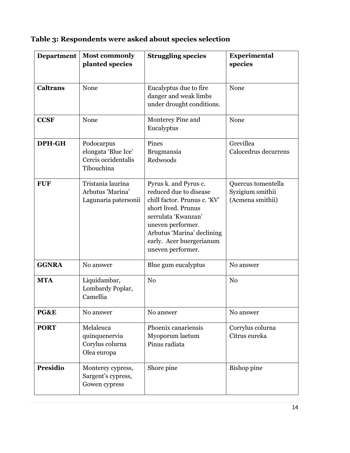| Table 3: Respondents were asked about species selection |  |  |
|---------------------------------------------------------|--|--|
|                                                         |  |  |

| <b>Department</b> | <b>Most commonly</b><br>planted species                                | <b>Struggling species</b>                                                                                                                                                                                                         | <b>Experimental</b><br>species                             |
|-------------------|------------------------------------------------------------------------|-----------------------------------------------------------------------------------------------------------------------------------------------------------------------------------------------------------------------------------|------------------------------------------------------------|
| <b>Caltrans</b>   | None                                                                   | Eucalyptus due to fire<br>danger and weak limbs<br>under drought conditions.                                                                                                                                                      | None                                                       |
| <b>CCSF</b>       | None                                                                   | Monterey Pine and<br>Eucalyptus                                                                                                                                                                                                   | None                                                       |
| DPH-GH            | Podocarpus<br>elongata 'Blue Ice'<br>Cercis occidentalis<br>Tibouchina | Pines<br>Brugmansia<br>Redwoods                                                                                                                                                                                                   | Grevillea<br>Calocedrus decurrens                          |
| <b>FUF</b>        | Tristania laurina<br>Arbutus 'Marina'<br>Lagunaria patersonii          | Pyrus k. and Pyrus c.<br>reduced due to disease<br>chill factor. Prunus c. 'KV'<br>short lived. Prunus<br>serrulata 'Kwanzan'<br>uneven performer.<br>Arbutus 'Marina' declining<br>early. Acer buergerianum<br>uneven performer. | Quercus tomentella<br>Syzigium smithii<br>(Acmena smithii) |
| <b>GGNRA</b>      | No answer                                                              | Blue gum eucalyptus                                                                                                                                                                                                               | No answer                                                  |
| <b>MTA</b>        | Liquidambar,<br>Lombardy Poplar,<br>Camellia                           | N <sub>0</sub>                                                                                                                                                                                                                    | N <sub>0</sub>                                             |
| PG&E              | No answer                                                              | No answer                                                                                                                                                                                                                         | No answer                                                  |
| <b>PORT</b>       | Melaleuca<br>quinquenervia<br>Corylus colurna<br>Olea europa           | Phoenix canariensis<br>Myoporum laetum<br>Pinus radiata                                                                                                                                                                           | Corrylus colurna<br>Citrus eureka                          |
| <b>Presidio</b>   | Monterey cypress,<br>Sargent's cypress,<br>Gowen cypress               | Shore pine                                                                                                                                                                                                                        | <b>Bishop</b> pine                                         |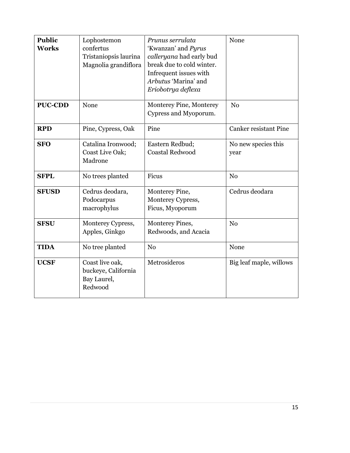| <b>Public</b><br><b>Works</b> | Lophostemon<br>confertus                                         | Prunus serrulata<br>'Kwanzan' and Pyrus                                                                                       | None                         |
|-------------------------------|------------------------------------------------------------------|-------------------------------------------------------------------------------------------------------------------------------|------------------------------|
|                               | Tristaniopsis laurina<br>Magnolia grandiflora                    | calleryana had early bud<br>break due to cold winter.<br>Infrequent issues with<br>Arbutus 'Marina' and<br>Eriobotrya deflexa |                              |
| <b>PUC-CDD</b>                | None                                                             | Monterey Pine, Monterey<br>Cypress and Myoporum.                                                                              | N <sub>0</sub>               |
| <b>RPD</b>                    | Pine, Cypress, Oak                                               | Pine                                                                                                                          | <b>Canker resistant Pine</b> |
| <b>SFO</b>                    | Catalina Ironwood;<br>Coast Live Oak;<br>Madrone                 | Eastern Redbud;<br><b>Coastal Redwood</b>                                                                                     | No new species this<br>year  |
| <b>SFPL</b>                   | No trees planted                                                 | Ficus                                                                                                                         | N <sub>0</sub>               |
| <b>SFUSD</b>                  | Cedrus deodara,<br>Podocarpus<br>macrophylus                     | Monterey Pine,<br>Monterey Cypress,<br>Ficus, Myoporum                                                                        | Cedrus deodara               |
| <b>SFSU</b>                   | Monterey Cypress,<br>Apples, Ginkgo                              | Monterey Pines,<br>Redwoods, and Acacia                                                                                       | N <sub>o</sub>               |
| <b>TIDA</b>                   | No tree planted                                                  | N <sub>0</sub>                                                                                                                | None                         |
| <b>UCSF</b>                   | Coast live oak,<br>buckeye, California<br>Bay Laurel,<br>Redwood | Metrosideros                                                                                                                  | Big leaf maple, willows      |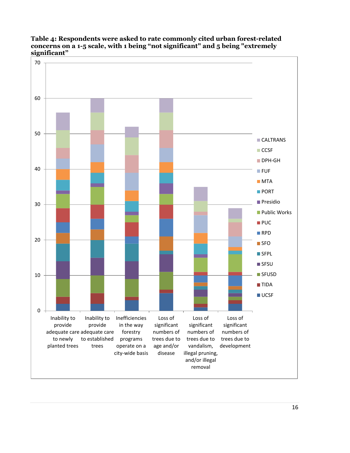

**Table 4: Respondents were asked to rate commonly cited urban forest-related concerns on a 1-5 scale, with 1 being "not significant" and 5 being "extremely significant"**